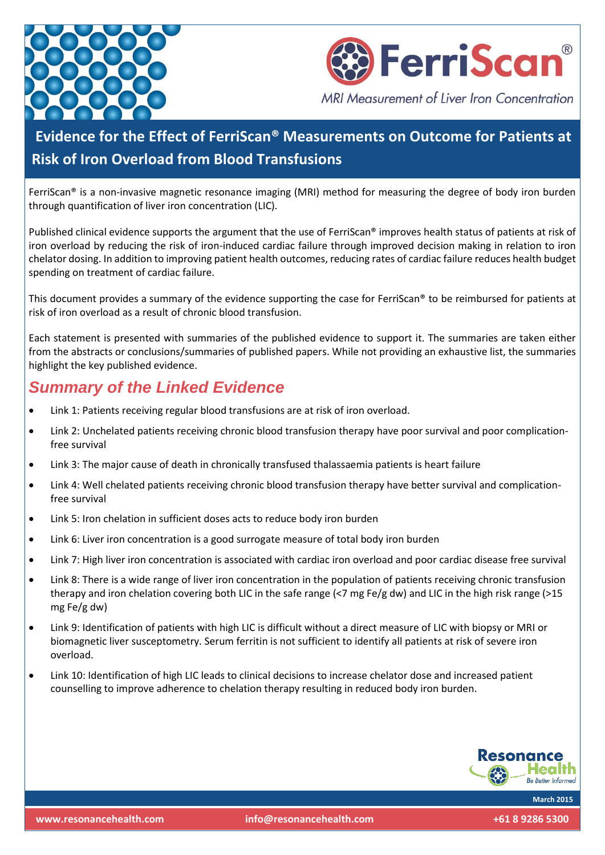



# **Evidence for the Effect of FerriScan® Measurements on Outcome for Patients at Risk of Iron Overload from Blood Transfusions**

FerriScan® is a non-invasive magnetic resonance imaging (MRI) method for measuring the degree of body iron burden through quantification of liver iron concentration (LIC).

Published clinical evidence supports the argument that the use of FerriScan® improves health status of patients at risk of iron overload by reducing the risk of iron-induced cardiac failure through improved decision making in relation to iron chelator dosing. In addition to improving patient health outcomes, reducing rates of cardiac failure reduces health budget spending on treatment of cardiac failure.

This document provides a summary of the evidence supporting the case for FerriScan® to be reimbursed for patients at risk of iron overload as a result of chronic blood transfusion.

Each statement is presented with summaries of the published evidence to support it. The summaries are taken either from the abstracts or conclusions/summaries of published papers. While not providing an exhaustive list, the summaries highlight the key published evidence.

## *Summary of the Linked Evidence*

- Link 1: Patients receiving regular blood transfusions are at risk of iron overload.
- Link 2: Unchelated patients receiving chronic blood transfusion therapy have poor survival and poor complicationfree survival
- Link 3: The major cause of death in chronically transfused thalassaemia patients is heart failure
- Link 4: Well chelated patients receiving chronic blood transfusion therapy have better survival and complicationfree survival
- Link 5: Iron chelation in sufficient doses acts to reduce body iron burden
- Link 6: Liver iron concentration is a good surrogate measure of total body iron burden
- Link 7: High liver iron concentration is associated with cardiac iron overload and poor cardiac disease free survival
- Link 8: There is a wide range of liver iron concentration in the population of patients receiving chronic transfusion therapy and iron chelation covering both LIC in the safe range (<7 mg Fe/g dw) and LIC in the high risk range (>15 mg Fe/g dw)
- Link 9: Identification of patients with high LIC is difficult without a direct measure of LIC with biopsy or MRI or biomagnetic liver susceptometry. Serum ferritin is not sufficient to identify all patients at risk of severe iron overload.
- Link 10: Identification of high LIC leads to clinical decisions to increase chelator dose and increased patient counselling to improve adherence to chelation therapy resulting in reduced body iron burden.

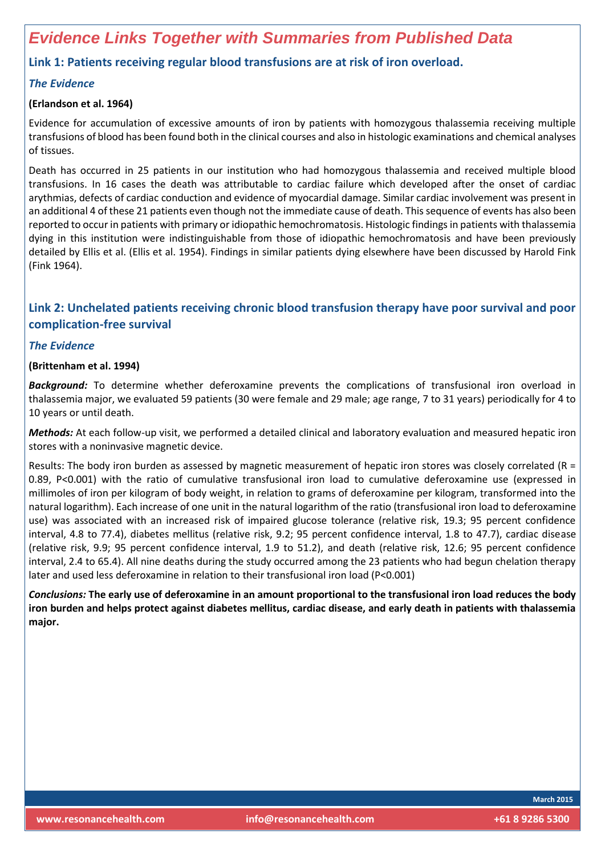## *Evidence Links Together with Summaries from Published Data*

### **Link 1: Patients receiving regular blood transfusions are at risk of iron overload.**

#### *The Evidence*

#### **(Erlandson et al. 1964)**

Evidence for accumulation of excessive amounts of iron by patients with homozygous thalassemia receiving multiple transfusions of blood has been found both in the clinical courses and also in histologic examinations and chemical analyses of tissues.

Death has occurred in 25 patients in our institution who had homozygous thalassemia and received multiple blood transfusions. In 16 cases the death was attributable to cardiac failure which developed after the onset of cardiac arythmias, defects of cardiac conduction and evidence of myocardial damage. Similar cardiac involvement was present in an additional 4 of these 21 patients even though not the immediate cause of death. This sequence of events has also been reported to occur in patients with primary or idiopathic hemochromatosis. Histologic findings in patients with thalassemia dying in this institution were indistinguishable from those of idiopathic hemochromatosis and have been previously detailed by Ellis et al. (Ellis et al. 1954). Findings in similar patients dying elsewhere have been discussed by Harold Fink (Fink 1964).

### **Link 2: Unchelated patients receiving chronic blood transfusion therapy have poor survival and poor complication-free survival**

#### *The Evidence*

#### **(Brittenham et al. 1994)**

*Background:* To determine whether deferoxamine prevents the complications of transfusional iron overload in thalassemia major, we evaluated 59 patients (30 were female and 29 male; age range, 7 to 31 years) periodically for 4 to 10 years or until death.

*Methods:* At each follow-up visit, we performed a detailed clinical and laboratory evaluation and measured hepatic iron stores with a noninvasive magnetic device.

Results: The body iron burden as assessed by magnetic measurement of hepatic iron stores was closely correlated (R = 0.89, P<0.001) with the ratio of cumulative transfusional iron load to cumulative deferoxamine use (expressed in millimoles of iron per kilogram of body weight, in relation to grams of deferoxamine per kilogram, transformed into the natural logarithm). Each increase of one unit in the natural logarithm of the ratio (transfusional iron load to deferoxamine use) was associated with an increased risk of impaired glucose tolerance (relative risk, 19.3; 95 percent confidence interval, 4.8 to 77.4), diabetes mellitus (relative risk, 9.2; 95 percent confidence interval, 1.8 to 47.7), cardiac disease (relative risk, 9.9; 95 percent confidence interval, 1.9 to 51.2), and death (relative risk, 12.6; 95 percent confidence interval, 2.4 to 65.4). All nine deaths during the study occurred among the 23 patients who had begun chelation therapy later and used less deferoxamine in relation to their transfusional iron load (P<0.001)

*Conclusions:* **The early use of deferoxamine in an amount proportional to the transfusional iron load reduces the body iron burden and helps protect against diabetes mellitus, cardiac disease, and early death in patients with thalassemia major.**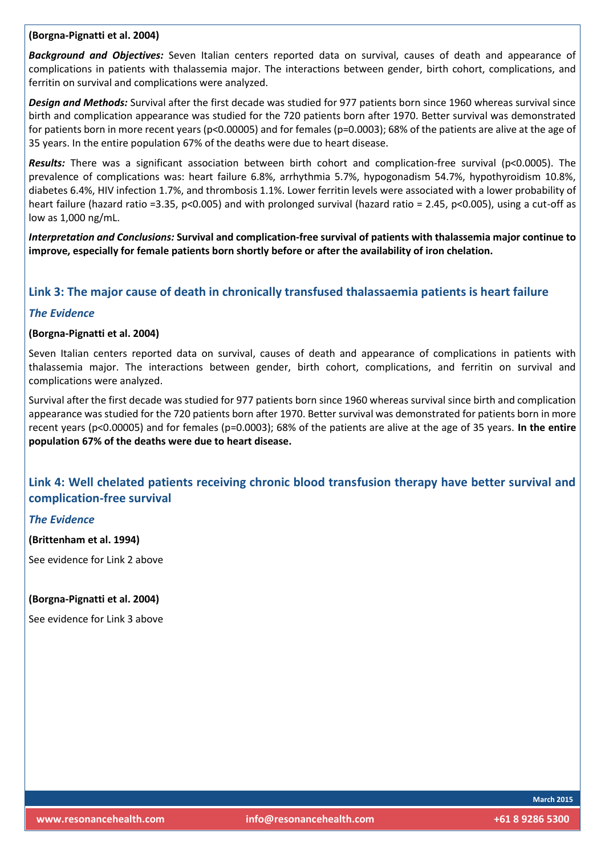#### **(Borgna-Pignatti et al. 2004)**

*Background and Objectives:* Seven Italian centers reported data on survival, causes of death and appearance of complications in patients with thalassemia major. The interactions between gender, birth cohort, complications, and ferritin on survival and complications were analyzed.

*Design and Methods:* Survival after the first decade was studied for 977 patients born since 1960 whereas survival since birth and complication appearance was studied for the 720 patients born after 1970. Better survival was demonstrated for patients born in more recent years (p<0.00005) and for females (p=0.0003); 68% of the patients are alive at the age of 35 years. In the entire population 67% of the deaths were due to heart disease.

*Results:* There was a significant association between birth cohort and complication-free survival (p<0.0005). The prevalence of complications was: heart failure 6.8%, arrhythmia 5.7%, hypogonadism 54.7%, hypothyroidism 10.8%, diabetes 6.4%, HIV infection 1.7%, and thrombosis 1.1%. Lower ferritin levels were associated with a lower probability of heart failure (hazard ratio =3.35, p<0.005) and with prolonged survival (hazard ratio = 2.45, p<0.005), using a cut-off as low as 1,000 ng/mL.

*Interpretation and Conclusions:* **Survival and complication-free survival of patients with thalassemia major continue to improve, especially for female patients born shortly before or after the availability of iron chelation.** 

#### **Link 3: The major cause of death in chronically transfused thalassaemia patients is heart failure**

#### *The Evidence*

#### **(Borgna-Pignatti et al. 2004)**

Seven Italian centers reported data on survival, causes of death and appearance of complications in patients with thalassemia major. The interactions between gender, birth cohort, complications, and ferritin on survival and complications were analyzed.

Survival after the first decade was studied for 977 patients born since 1960 whereas survival since birth and complication appearance was studied for the 720 patients born after 1970. Better survival was demonstrated for patients born in more recent years (p<0.00005) and for females (p=0.0003); 68% of the patients are alive at the age of 35 years. **In the entire population 67% of the deaths were due to heart disease.** 

## **Link 4: Well chelated patients receiving chronic blood transfusion therapy have better survival and complication-free survival**

#### *The Evidence*

**(Brittenham et al. 1994)** 

See evidence for Link 2 above

#### **(Borgna-Pignatti et al. 2004)**

See evidence for Link 3 above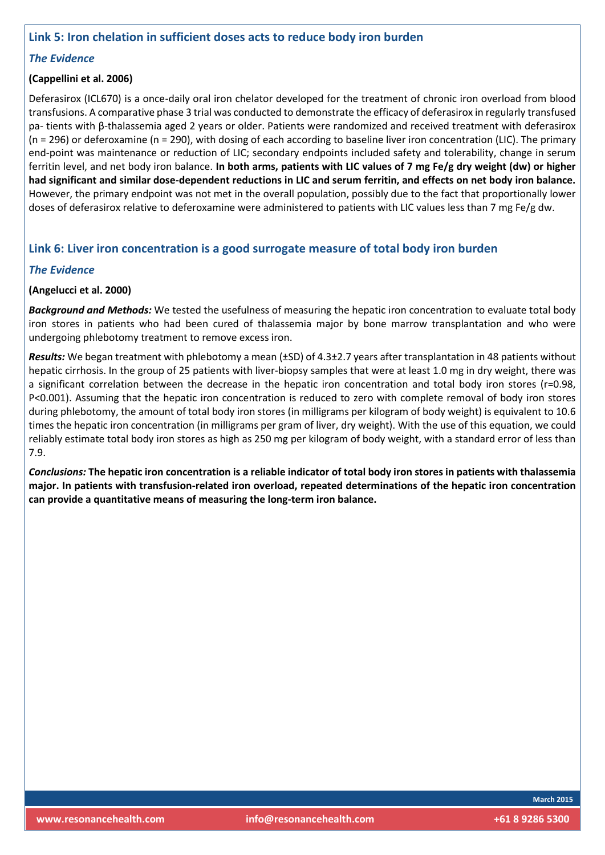#### **Link 5: Iron chelation in sufficient doses acts to reduce body iron burden**

### *The Evidence*

#### **(Cappellini et al. 2006)**

Deferasirox (ICL670) is a once-daily oral iron chelator developed for the treatment of chronic iron overload from blood transfusions. A comparative phase 3 trial was conducted to demonstrate the efficacy of deferasirox in regularly transfused pa- tients with β-thalassemia aged 2 years or older. Patients were randomized and received treatment with deferasirox (n = 296) or deferoxamine (n = 290), with dosing of each according to baseline liver iron concentration (LIC). The primary end-point was maintenance or reduction of LIC; secondary endpoints included safety and tolerability, change in serum ferritin level, and net body iron balance. **In both arms, patients with LIC values of 7 mg Fe/g dry weight (dw) or higher had significant and similar dose-dependent reductions in LIC and serum ferritin, and effects on net body iron balance.**  However, the primary endpoint was not met in the overall population, possibly due to the fact that proportionally lower doses of deferasirox relative to deferoxamine were administered to patients with LIC values less than 7 mg Fe/g dw.

### **Link 6: Liver iron concentration is a good surrogate measure of total body iron burden**

#### *The Evidence*

#### **(Angelucci et al. 2000)**

*Background and Methods:* We tested the usefulness of measuring the hepatic iron concentration to evaluate total body iron stores in patients who had been cured of thalassemia major by bone marrow transplantation and who were undergoing phlebotomy treatment to remove excess iron.

*Results:* We began treatment with phlebotomy a mean (±SD) of 4.3±2.7 years after transplantation in 48 patients without hepatic cirrhosis. In the group of 25 patients with liver-biopsy samples that were at least 1.0 mg in dry weight, there was a significant correlation between the decrease in the hepatic iron concentration and total body iron stores (r=0.98, P<0.001). Assuming that the hepatic iron concentration is reduced to zero with complete removal of body iron stores during phlebotomy, the amount of total body iron stores (in milligrams per kilogram of body weight) is equivalent to 10.6 times the hepatic iron concentration (in milligrams per gram of liver, dry weight). With the use of this equation, we could reliably estimate total body iron stores as high as 250 mg per kilogram of body weight, with a standard error of less than 7.9.

*Conclusions:* **The hepatic iron concentration is a reliable indicator of total body iron stores in patients with thalassemia major. In patients with transfusion-related iron overload, repeated determinations of the hepatic iron concentration can provide a quantitative means of measuring the long-term iron balance.**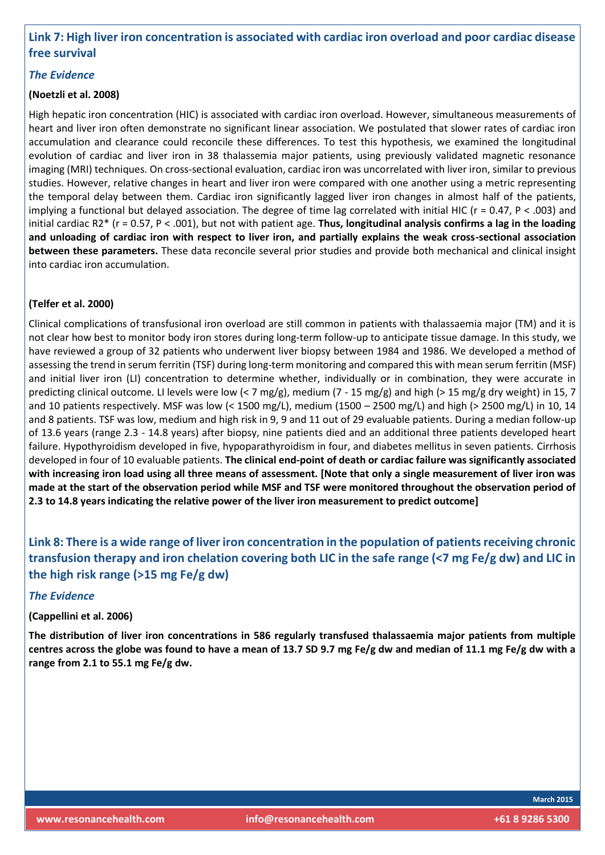## **Link 7: High liver iron concentration is associated with cardiac iron overload and poor cardiac disease free survival**

#### *The Evidence*

#### **(Noetzli et al. 2008)**

High hepatic iron concentration (HIC) is associated with cardiac iron overload. However, simultaneous measurements of heart and liver iron often demonstrate no significant linear association. We postulated that slower rates of cardiac iron accumulation and clearance could reconcile these differences. To test this hypothesis, we examined the longitudinal evolution of cardiac and liver iron in 38 thalassemia major patients, using previously validated magnetic resonance imaging (MRI) techniques. On cross-sectional evaluation, cardiac iron was uncorrelated with liver iron, similar to previous studies. However, relative changes in heart and liver iron were compared with one another using a metric representing the temporal delay between them. Cardiac iron significantly lagged liver iron changes in almost half of the patients, implying a functional but delayed association. The degree of time lag correlated with initial HIC (r = 0.47, P < .003) and initial cardiac R2\* (r = 0.57, P < .001), but not with patient age. **Thus, longitudinal analysis confirms a lag in the loading and unloading of cardiac iron with respect to liver iron, and partially explains the weak cross-sectional association between these parameters.** These data reconcile several prior studies and provide both mechanical and clinical insight into cardiac iron accumulation.

#### **(Telfer et al. 2000)**

Clinical complications of transfusional iron overload are still common in patients with thalassaemia major (TM) and it is not clear how best to monitor body iron stores during long-term follow-up to anticipate tissue damage. In this study, we have reviewed a group of 32 patients who underwent liver biopsy between 1984 and 1986. We developed a method of assessing the trend in serum ferritin (TSF) during long-term monitoring and compared this with mean serum ferritin (MSF) and initial liver iron (LI) concentration to determine whether, individually or in combination, they were accurate in predicting clinical outcome. LI levels were low (< 7 mg/g), medium (7 - 15 mg/g) and high (> 15 mg/g dry weight) in 15, 7 and 10 patients respectively. MSF was low (< 1500 mg/L), medium (1500 – 2500 mg/L) and high (> 2500 mg/L) in 10, 14 and 8 patients. TSF was low, medium and high risk in 9, 9 and 11 out of 29 evaluable patients. During a median follow-up of 13.6 years (range 2.3 - 14.8 years) after biopsy, nine patients died and an additional three patients developed heart failure. Hypothyroidism developed in five, hypoparathyroidism in four, and diabetes mellitus in seven patients. Cirrhosis developed in four of 10 evaluable patients. **The clinical end-point of death or cardiac failure was significantly associated with increasing iron load using all three means of assessment. [Note that only a single measurement of liver iron was made at the start of the observation period while MSF and TSF were monitored throughout the observation period of 2.3 to 14.8 years indicating the relative power of the liver iron measurement to predict outcome]** 

## **Link 8: There is a wide range of liver iron concentration in the population of patients receiving chronic transfusion therapy and iron chelation covering both LIC in the safe range (<7 mg Fe/g dw) and LIC in the high risk range (>15 mg Fe/g dw)**

#### *The Evidence*

#### **(Cappellini et al. 2006)**

**The distribution of liver iron concentrations in 586 regularly transfused thalassaemia major patients from multiple centres across the globe was found to have a mean of 13.7 SD 9.7 mg Fe/g dw and median of 11.1 mg Fe/g dw with a range from 2.1 to 55.1 mg Fe/g dw.**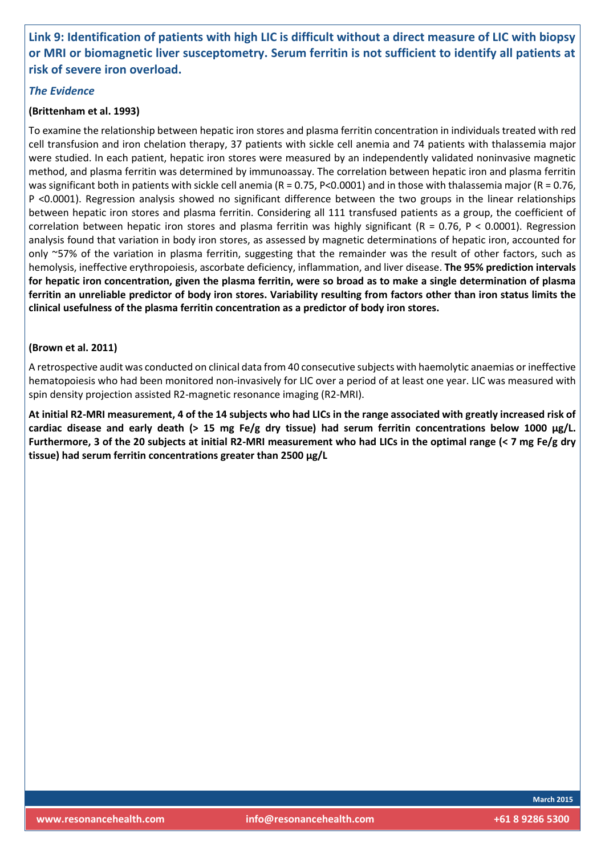## **Link 9: Identification of patients with high LIC is difficult without a direct measure of LIC with biopsy or MRI or biomagnetic liver susceptometry. Serum ferritin is not sufficient to identify all patients at risk of severe iron overload.**

#### *The Evidence*

#### **(Brittenham et al. 1993)**

To examine the relationship between hepatic iron stores and plasma ferritin concentration in individuals treated with red cell transfusion and iron chelation therapy, 37 patients with sickle cell anemia and 74 patients with thalassemia major were studied. In each patient, hepatic iron stores were measured by an independently validated noninvasive magnetic method, and plasma ferritin was determined by immunoassay. The correlation between hepatic iron and plasma ferritin was significant both in patients with sickle cell anemia (R = 0.75, P<0.0001) and in those with thalassemia major (R = 0.76, P <0.0001). Regression analysis showed no significant difference between the two groups in the linear relationships between hepatic iron stores and plasma ferritin. Considering all 111 transfused patients as a group, the coefficient of correlation between hepatic iron stores and plasma ferritin was highly significant ( $R = 0.76$ ,  $P < 0.0001$ ). Regression analysis found that variation in body iron stores, as assessed by magnetic determinations of hepatic iron, accounted for only ~57% of the variation in plasma ferritin, suggesting that the remainder was the result of other factors, such as hemolysis, ineffective erythropoiesis, ascorbate deficiency, inflammation, and liver disease. **The 95% prediction intervals for hepatic iron concentration, given the plasma ferritin, were so broad as to make a single determination of plasma ferritin an unreliable predictor of body iron stores. Variability resulting from factors other than iron status limits the clinical usefulness of the plasma ferritin concentration as a predictor of body iron stores.** 

#### **(Brown et al. 2011)**

A retrospective audit was conducted on clinical data from 40 consecutive subjects with haemolytic anaemias or ineffective hematopoiesis who had been monitored non-invasively for LIC over a period of at least one year. LIC was measured with spin density projection assisted R2-magnetic resonance imaging (R2-MRI).

**At initial R2-MRI measurement, 4 of the 14 subjects who had LICs in the range associated with greatly increased risk of cardiac disease and early death (> 15 mg Fe/g dry tissue) had serum ferritin concentrations below 1000 μg/L. Furthermore, 3 of the 20 subjects at initial R2-MRI measurement who had LICs in the optimal range (< 7 mg Fe/g dry tissue) had serum ferritin concentrations greater than 2500 μg/L**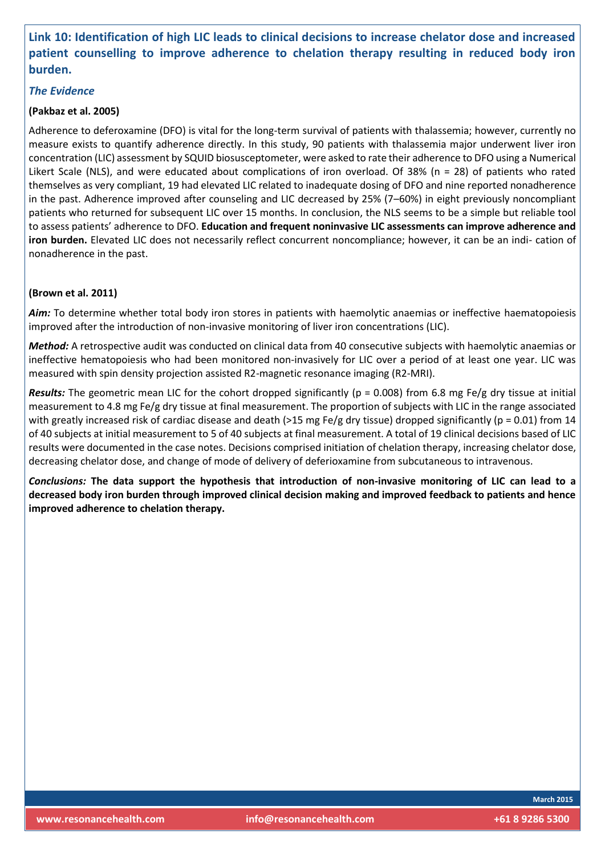## **Link 10: Identification of high LIC leads to clinical decisions to increase chelator dose and increased patient counselling to improve adherence to chelation therapy resulting in reduced body iron burden.**

#### *The Evidence*

#### **(Pakbaz et al. 2005)**

Adherence to deferoxamine (DFO) is vital for the long-term survival of patients with thalassemia; however, currently no measure exists to quantify adherence directly. In this study, 90 patients with thalassemia major underwent liver iron concentration (LIC) assessment by SQUID biosusceptometer, were asked to rate their adherence to DFO using a Numerical Likert Scale (NLS), and were educated about complications of iron overload. Of 38% (n = 28) of patients who rated themselves as very compliant, 19 had elevated LIC related to inadequate dosing of DFO and nine reported nonadherence in the past. Adherence improved after counseling and LIC decreased by 25% (7–60%) in eight previously noncompliant patients who returned for subsequent LIC over 15 months. In conclusion, the NLS seems to be a simple but reliable tool to assess patients' adherence to DFO. **Education and frequent noninvasive LIC assessments can improve adherence and iron burden.** Elevated LIC does not necessarily reflect concurrent noncompliance; however, it can be an indi- cation of nonadherence in the past.

#### **(Brown et al. 2011)**

*Aim:* To determine whether total body iron stores in patients with haemolytic anaemias or ineffective haematopoiesis improved after the introduction of non-invasive monitoring of liver iron concentrations (LIC).

*Method:* A retrospective audit was conducted on clinical data from 40 consecutive subjects with haemolytic anaemias or ineffective hematopoiesis who had been monitored non-invasively for LIC over a period of at least one year. LIC was measured with spin density projection assisted R2-magnetic resonance imaging (R2-MRI).

*Results:* The geometric mean LIC for the cohort dropped significantly (p = 0.008) from 6.8 mg Fe/g dry tissue at initial measurement to 4.8 mg Fe/g dry tissue at final measurement. The proportion of subjects with LIC in the range associated with greatly increased risk of cardiac disease and death (>15 mg Fe/g dry tissue) dropped significantly ( $p = 0.01$ ) from 14 of 40 subjects at initial measurement to 5 of 40 subjects at final measurement. A total of 19 clinical decisions based of LIC results were documented in the case notes. Decisions comprised initiation of chelation therapy, increasing chelator dose, decreasing chelator dose, and change of mode of delivery of deferioxamine from subcutaneous to intravenous.

*Conclusions:* **The data support the hypothesis that introduction of non-invasive monitoring of LIC can lead to a decreased body iron burden through improved clinical decision making and improved feedback to patients and hence improved adherence to chelation therapy.**